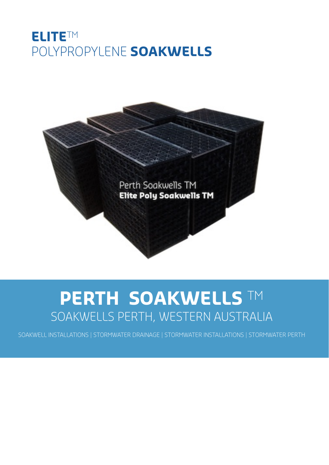### **ELITE**TM POLYPROPYLENE **SOAKWELLS**



# **PERTH SOAKWELLS** TM SOAKWELLS PERTH, WESTERN AUSTRALIA

SOAKWELL INSTALLATIONS | STORMWATER DRAINAGE | STORMWATER INSTALLATIONS | STORMWATER PERTH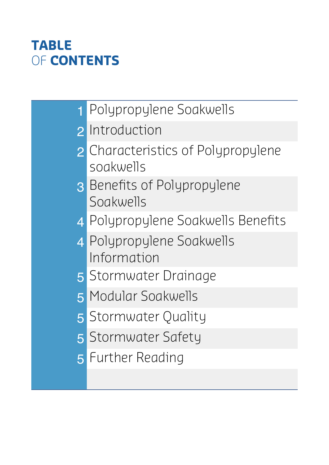# **TABLE** OF **CONTENTS**

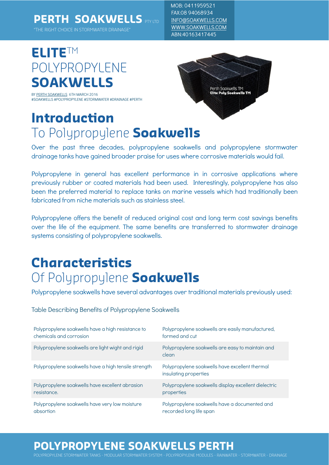### **PERTH SOAKWELLS** PTY LTD

"THE RIGHT CHOICE IN STORMWATER DRAINAGE"

MOB: 0411959521 FAX:08 94068934 [INFO@SOAKWELLS.COM](mailto:INFO@soakwells.com) [WWW.SOAKWELLS.COM](http://www.soakwells.com) ABN:40163417445

# **ELITE**TM POLYPROPYLENE **SOAKWELLS**

BY [PERTH SOAKWELLS](https://plus.google.com/+Soakwells) 6TH MARCH 2016 #SOAKWELLS #POLYPROPYLENE #STORMWATER #DRAINAGE #PERTH

### **Introduction**  To Polypropylene **Soakwells**



Over the past three decades, polypropylene soakwells and polypropylene stormwater drainage tanks have gained broader praise for uses where corrosive materials would fail.

Polypropylene in general has excellent performance in in corrosive applications where previously rubber or coated materials had been used. Interestingly, polypropylene has also been the preferred material to replace tanks on marine vessels which had traditionally been fabricated from niche materials such as stainless steel.

Polypropylene offers the benefit of reduced original cost and long term cost savings benefits over the life of the equipment. The same benefits are transferred to stormwater drainage systems consisting of polypropylene soakwells.

### **Characteristics** Of Polypropylene **Soakwells**

Polypropylene soakwells have several advantages over traditional materials previously used:

Table Describing Benefits of Polypropylene Soakwells

| Polypropylene soakwells have a high resistance to    | Polypropylene soakwells are easily manufactured,                        |
|------------------------------------------------------|-------------------------------------------------------------------------|
| chemicals and corrosion                              | formed and cut                                                          |
| Polypropylene soakwells are light wight and rigid    | Polypropylene soakwells are easy to maintain and<br>clean               |
| Polypropylene soakwells have a high tensile strength | Polypropylene soakwells have excellent thermal<br>insulating properties |
| Polypropylene soakwells have excellent abrasion      | Polypropylene soakwells display excellent dielectric                    |
| resistance.                                          | properties                                                              |
| Polypropylene soakwells have very low moisture       | Polypropylene soakwells have a documented and                           |
| absortion                                            | recorded long life span                                                 |

#### **POLYPROPYLENE SOAKWELLS PERTH**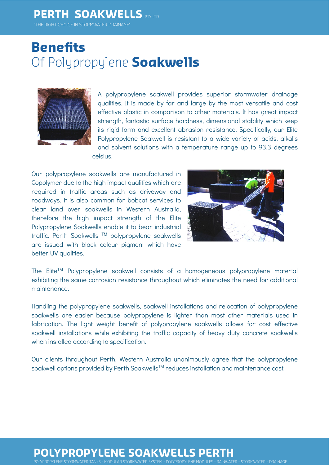#### **PERTH SOAKWELLS** PTY LTD

"THE RIGHT CHOICE IN STORMWATER DRAINAGE"

### **Benefits** Of Polypropylene **Soakwells**



A polypropylene soakwell provides superior stormwater drainage qualities. It is made by far and large by the most versatile and cost effective plastic in comparison to other materials. It has great impact strength, fantastic surface hardness, dimensional stability which keep its rigid form and excellent abrasion resistance. Specifically, our Elite Polypropylene Soakwell is resistant to a wide variety of acids, alkalis and solvent solutions with a temperature range up to 93.3 degrees celsius.

Our polypropylene soakwells are manufactured in Copolymer due to the high impact qualities which are required in traffic areas such as driveway and roadways. It is also common for bobcat services to clear land over soakwells in Western Australia, therefore the high impact strength of the Elite Polypropylene Soakwells enable it to bear industrial traffic. Perth Soakwells ™ polypropylene soakwells are issued with black colour pigment which have better UV qualities.



The Elite™ Polypropylene soakwell consists of a homogeneous polypropylene material exhibiting the same corrosion resistance throughout which eliminates the need for additional maintenance.

Handling the polypropylene soakwells, soakwell installations and relocation of polypropylene soakwells are easier because polypropylene is lighter than most other materials used in fabrication. The light weight benefit of polypropylene soakwells allows for cost effective soakwell installations while exhibiting the traffic capacity of heavy duty concrete soakwells when installed according to specification.

Our clients throughout Perth, Western Australia unanimously agree that the polypropylene soakwell options provided by Perth Soakwells<sup>TM</sup> reduces installation and maintenance cost.

#### **POLYPROPYLENE SOAKWELLS PERTH**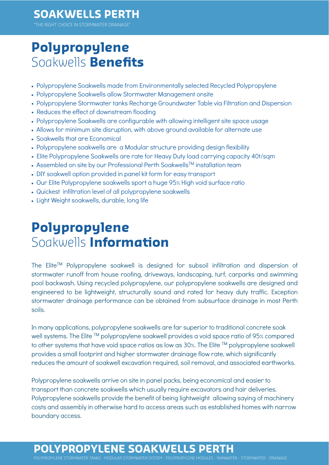#### **SOAKWELLS PERTH**

THE RIGHT CHOICE IN STORMWATER DRAINAGE

### **Polypropylene** Soakwells **Benefits**

- Polypropylene Soakwells made from Environmentally selected Recycled Polypropylene
- Polypropylene Soakwells allow Stormwater Management onsite
- Polypropylene Stormwater tanks Recharge Groundwater Table via Filtration and Dispersion
- Reduces the effect of downstream flooding
- Polypropylene Soakwells are configurable with allowing intelligent site space usage
- Allows for minimum site disruption, with above ground available for alternate use
- Soakwells that are Economical
- Polypropylene soakwells are a Modular structure providing design flexibility
- Elite Polypropylene Soakwells are rate for Heavy Duty load carrying capacity 40t/sqm
- Assembled on site by our Professional Perth Soakwells<sup>™</sup> installation team
- DIY soakwell option provided in panel kit form for easy transport
- Our Elite Polypropylene soakwells sport a huge 95% High void surface ratio
- Quickest infiltration level of all polypropylene soakwells
- Light Weight soakwells, durable, long life

### **Polypropylene** Soakwells **Information**

The Elite™ Polypropylene soakwell is designed for subsoil infiltration and dispersion of stormwater runoff from house roofing, driveways, landscaping, turf, carparks and swimming pool backwash. Using recycled polypropylene, our polypropylene soakwells are designed and engineered to be lightweight, structurally sound and rated for heavy duty traffic. Exception stormwater drainage performance can be obtained from subsurface drainage in most Perth soils.

In many applications, polypropylene soakwells are far superior to traditional concrete soak well systems. The Elite <sup>TM</sup> polypropylene soakwell provides a void space ratio of 95% compared to other systems that have void space ratios as low as 30%. The Elite ™ polypropylene soakwell provides a small footprint and higher stormwater drainage flow rate, which significantly reduces the amount of soakwell excavation required, soil removal, and associated earthworks.

Polypropylene soakwells arrive on site in panel packs, being economical and easier to transport than concrete soakwells which usually require excavators and hair deliveries. Polypropylene soakwells provide the benefit of being lightweight allowing saying of machinery costs and assembly in otherwise hard to access areas such as established homes with narrow boundary access.

#### **PROPYLENE SOAKWELLS**